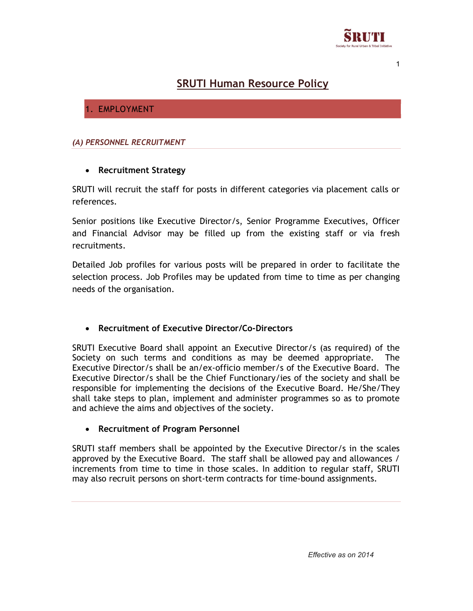

# SRUTI Human Resource Policy

# 1. EMPLOYMENT

#### (A) PERSONNEL RECRUITMENT

#### • Recruitment Strategy

SRUTI will recruit the staff for posts in different categories via placement calls or references.

Senior positions like Executive Director/s, Senior Programme Executives, Officer and Financial Advisor may be filled up from the existing staff or via fresh recruitments.

Detailed Job profiles for various posts will be prepared in order to facilitate the selection process. Job Profiles may be updated from time to time as per changing needs of the organisation.

#### Recruitment of Executive Director/Co-Directors

SRUTI Executive Board shall appoint an Executive Director/s (as required) of the Society on such terms and conditions as may be deemed appropriate. The Executive Director/s shall be an/ex-officio member/s of the Executive Board. The Executive Director/s shall be the Chief Functionary/ies of the society and shall be responsible for implementing the decisions of the Executive Board. He/She/They shall take steps to plan, implement and administer programmes so as to promote and achieve the aims and objectives of the society.

#### Recruitment of Program Personnel

SRUTI staff members shall be appointed by the Executive Director/s in the scales approved by the Executive Board. The staff shall be allowed pay and allowances / increments from time to time in those scales. In addition to regular staff, SRUTI may also recruit persons on short-term contracts for time-bound assignments.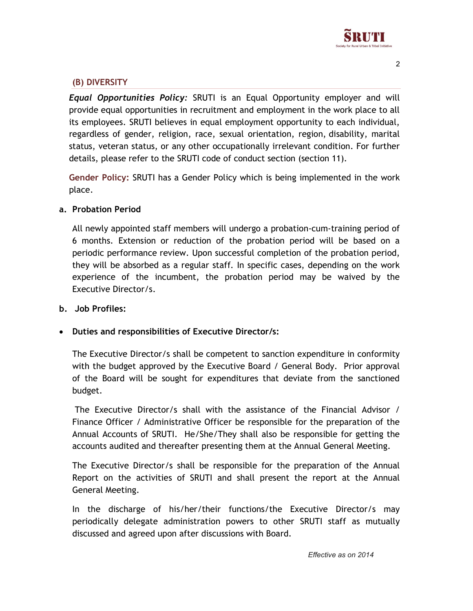

### (B) DIVERSITY

Equal Opportunities Policy: SRUTI is an Equal Opportunity employer and will provide equal opportunities in recruitment and employment in the work place to all its employees. SRUTI believes in equal employment opportunity to each individual, regardless of gender, religion, race, sexual orientation, region, disability, marital status, veteran status, or any other occupationally irrelevant condition. For further details, please refer to the SRUTI code of conduct section (section 11).

Gender Policy: SRUTI has a Gender Policy which is being implemented in the work place.

#### a. Probation Period

All newly appointed staff members will undergo a probation-cum-training period of 6 months. Extension or reduction of the probation period will be based on a periodic performance review. Upon successful completion of the probation period, they will be absorbed as a regular staff. In specific cases, depending on the work experience of the incumbent, the probation period may be waived by the Executive Director/s.

#### b. Job Profiles:

#### Duties and responsibilities of Executive Director/s:

The Executive Director/s shall be competent to sanction expenditure in conformity with the budget approved by the Executive Board / General Body. Prior approval of the Board will be sought for expenditures that deviate from the sanctioned budget.

 The Executive Director/s shall with the assistance of the Financial Advisor / Finance Officer / Administrative Officer be responsible for the preparation of the Annual Accounts of SRUTI. He/She/They shall also be responsible for getting the accounts audited and thereafter presenting them at the Annual General Meeting.

The Executive Director/s shall be responsible for the preparation of the Annual Report on the activities of SRUTI and shall present the report at the Annual General Meeting.

In the discharge of his/her/their functions/the Executive Director/s may periodically delegate administration powers to other SRUTI staff as mutually discussed and agreed upon after discussions with Board.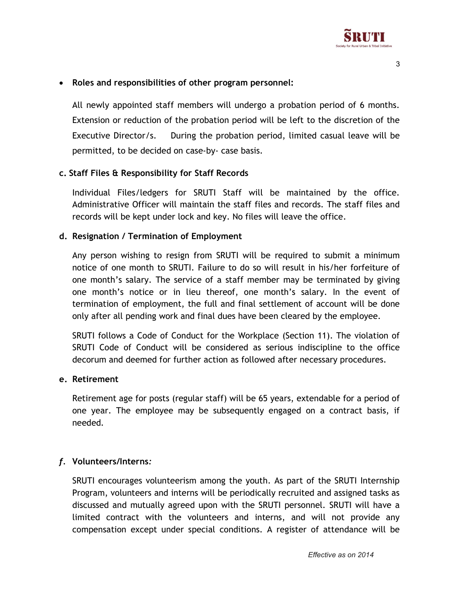

### Roles and responsibilities of other program personnel:

All newly appointed staff members will undergo a probation period of 6 months. Extension or reduction of the probation period will be left to the discretion of the Executive Director/s. During the probation period, limited casual leave will be permitted, to be decided on case-by- case basis.

#### c. Staff Files & Responsibility for Staff Records

Individual Files/ledgers for SRUTI Staff will be maintained by the office. Administrative Officer will maintain the staff files and records. The staff files and records will be kept under lock and key. No files will leave the office.

#### d. Resignation / Termination of Employment

Any person wishing to resign from SRUTI will be required to submit a minimum notice of one month to SRUTI. Failure to do so will result in his/her forfeiture of one month's salary. The service of a staff member may be terminated by giving one month's notice or in lieu thereof, one month's salary. In the event of termination of employment, the full and final settlement of account will be done only after all pending work and final dues have been cleared by the employee.

SRUTI follows a Code of Conduct for the Workplace (Section 11). The violation of SRUTI Code of Conduct will be considered as serious indiscipline to the office decorum and deemed for further action as followed after necessary procedures.

#### e. Retirement

Retirement age for posts (regular staff) will be 65 years, extendable for a period of one year. The employee may be subsequently engaged on a contract basis, if needed.

#### f. Volunteers/Interns:

SRUTI encourages volunteerism among the youth. As part of the SRUTI Internship Program, volunteers and interns will be periodically recruited and assigned tasks as discussed and mutually agreed upon with the SRUTI personnel. SRUTI will have a limited contract with the volunteers and interns, and will not provide any compensation except under special conditions. A register of attendance will be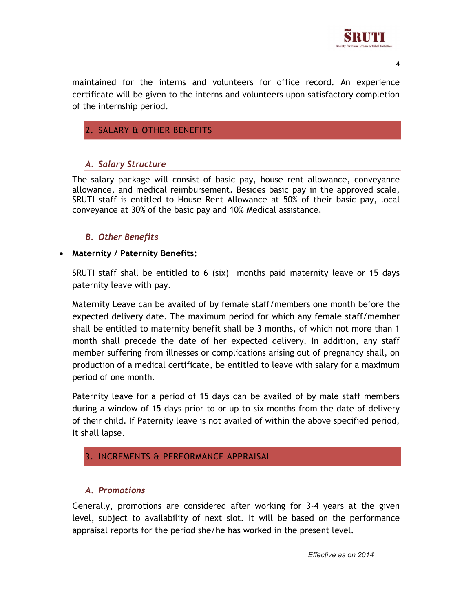

maintained for the interns and volunteers for office record. An experience certificate will be given to the interns and volunteers upon satisfactory completion of the internship period.

# 2. SALARY & OTHER BENEFITS

# A. Salary Structure

The salary package will consist of basic pay, house rent allowance, conveyance allowance, and medical reimbursement. Besides basic pay in the approved scale, SRUTI staff is entitled to House Rent Allowance at 50% of their basic pay, local conveyance at 30% of the basic pay and 10% Medical assistance.

### B. Other Benefits

#### • Maternity / Paternity Benefits:

SRUTI staff shall be entitled to 6 (six) months paid maternity leave or 15 days paternity leave with pay.

Maternity Leave can be availed of by female staff/members one month before the expected delivery date. The maximum period for which any female staff/member shall be entitled to maternity benefit shall be 3 months, of which not more than 1 month shall precede the date of her expected delivery. In addition, any staff member suffering from illnesses or complications arising out of pregnancy shall, on production of a medical certificate, be entitled to leave with salary for a maximum period of one month.

Paternity leave for a period of 15 days can be availed of by male staff members during a window of 15 days prior to or up to six months from the date of delivery of their child. If Paternity leave is not availed of within the above specified period, it shall lapse.

# 3. INCREMENTS & PERFORMANCE APPRAISAL

#### A. Promotions

Generally, promotions are considered after working for 3-4 years at the given level, subject to availability of next slot. It will be based on the performance appraisal reports for the period she/he has worked in the present level.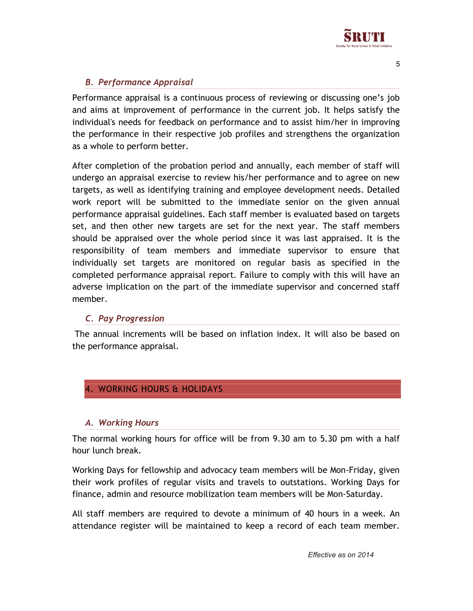

# B. Performance Appraisal

Performance appraisal is a continuous process of reviewing or discussing one's job and aims at improvement of performance in the current job. It helps satisfy the individual's needs for feedback on performance and to assist him/her in improving the performance in their respective job profiles and strengthens the organization as a whole to perform better.

After completion of the probation period and annually, each member of staff will undergo an appraisal exercise to review his/her performance and to agree on new targets, as well as identifying training and employee development needs. Detailed work report will be submitted to the immediate senior on the given annual performance appraisal guidelines. Each staff member is evaluated based on targets set, and then other new targets are set for the next year. The staff members should be appraised over the whole period since it was last appraised. It is the responsibility of team members and immediate supervisor to ensure that individually set targets are monitored on regular basis as specified in the completed performance appraisal report. Failure to comply with this will have an adverse implication on the part of the immediate supervisor and concerned staff member.

# C. Pay Progression

 The annual increments will be based on inflation index. It will also be based on the performance appraisal.

# 4. WORKING HOURS & HOLIDAYS

# A. Working Hours

The normal working hours for office will be from 9.30 am to 5.30 pm with a half hour lunch break.

Working Days for fellowship and advocacy team members will be Mon-Friday, given their work profiles of regular visits and travels to outstations. Working Days for finance, admin and resource mobilization team members will be Mon-Saturday.

All staff members are required to devote a minimum of 40 hours in a week. An attendance register will be maintained to keep a record of each team member.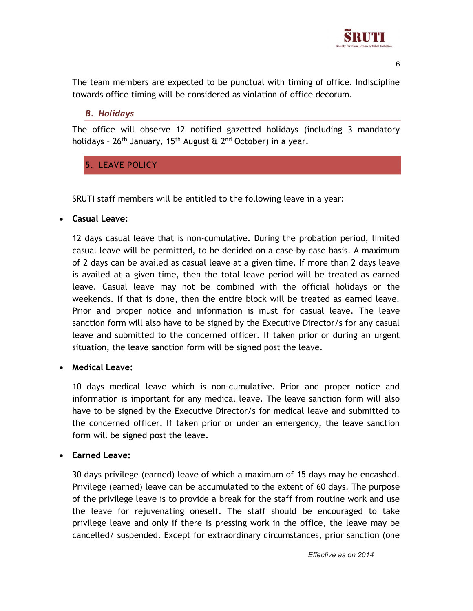

The team members are expected to be punctual with timing of office. Indiscipline towards office timing will be considered as violation of office decorum.

### B. Holidays

The office will observe 12 notified gazetted holidays (including 3 mandatory holidays -  $26<sup>th</sup>$  January, 15<sup>th</sup> August &  $2<sup>nd</sup>$  October) in a year.

# 5. LEAVE POLICY

SRUTI staff members will be entitled to the following leave in a year:

### Casual Leave:

12 days casual leave that is non-cumulative. During the probation period, limited casual leave will be permitted, to be decided on a case-by-case basis. A maximum of 2 days can be availed as casual leave at a given time. If more than 2 days leave is availed at a given time, then the total leave period will be treated as earned leave. Casual leave may not be combined with the official holidays or the weekends. If that is done, then the entire block will be treated as earned leave. Prior and proper notice and information is must for casual leave. The leave sanction form will also have to be signed by the Executive Director/s for any casual leave and submitted to the concerned officer. If taken prior or during an urgent situation, the leave sanction form will be signed post the leave.

# Medical Leave:

10 days medical leave which is non-cumulative. Prior and proper notice and information is important for any medical leave. The leave sanction form will also have to be signed by the Executive Director/s for medical leave and submitted to the concerned officer. If taken prior or under an emergency, the leave sanction form will be signed post the leave.

# Earned Leave:

30 days privilege (earned) leave of which a maximum of 15 days may be encashed. Privilege (earned) leave can be accumulated to the extent of 60 days. The purpose of the privilege leave is to provide a break for the staff from routine work and use the leave for rejuvenating oneself. The staff should be encouraged to take privilege leave and only if there is pressing work in the office, the leave may be cancelled/ suspended. Except for extraordinary circumstances, prior sanction (one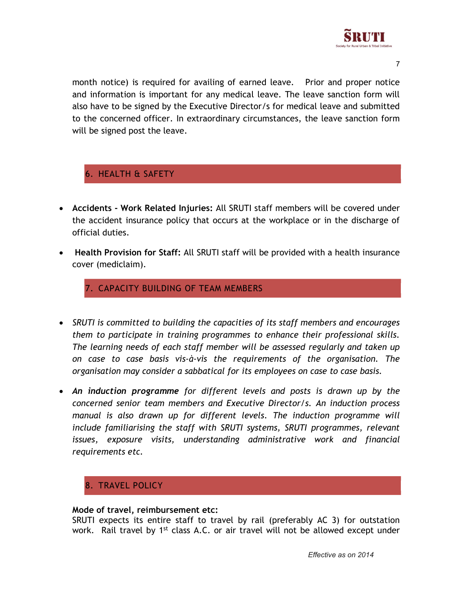

month notice) is required for availing of earned leave. Prior and proper notice and information is important for any medical leave. The leave sanction form will also have to be signed by the Executive Director/s for medical leave and submitted to the concerned officer. In extraordinary circumstances, the leave sanction form will be signed post the leave.

# 6. HEALTH & SAFETY

- Accidents Work Related Injuries: All SRUTI staff members will be covered under the accident insurance policy that occurs at the workplace or in the discharge of official duties.
- Health Provision for Staff: All SRUTI staff will be provided with a health insurance cover (mediclaim).

7. CAPACITY BUILDING OF TEAM MEMBERS

- SRUTI is committed to building the capacities of its staff members and encourages them to participate in training programmes to enhance their professional skills. The learning needs of each staff member will be assessed regularly and taken up on case to case basis vis-à-vis the requirements of the organisation. The organisation may consider a sabbatical for its employees on case to case basis.
- An induction programme for different levels and posts is drawn up by the concerned senior team members and Executive Director/s. An induction process manual is also drawn up for different levels. The induction programme will include familiarising the staff with SRUTI systems, SRUTI programmes, relevant issues, exposure visits, understanding administrative work and financial requirements etc.

# 8. TRAVEL POLICY

#### Mode of travel, reimbursement etc:

SRUTI expects its entire staff to travel by rail (preferably AC 3) for outstation work. Rail travel by 1<sup>st</sup> class A.C. or air travel will not be allowed except under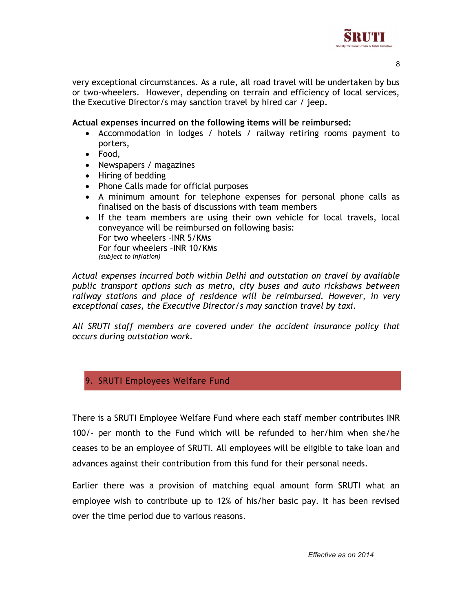

very exceptional circumstances. As a rule, all road travel will be undertaken by bus or two-wheelers. However, depending on terrain and efficiency of local services, the Executive Director/s may sanction travel by hired car / jeep.

#### Actual expenses incurred on the following items will be reimbursed:

- Accommodation in lodges / hotels / railway retiring rooms payment to porters,
- Food,
- Newspapers / magazines
- Hiring of bedding
- Phone Calls made for official purposes
- A minimum amount for telephone expenses for personal phone calls as finalised on the basis of discussions with team members
- If the team members are using their own vehicle for local travels, local conveyance will be reimbursed on following basis: For two wheelers –INR 5/KMs For four wheelers –INR 10/KMs (subject to inflation)

Actual expenses incurred both within Delhi and outstation on travel by available public transport options such as metro, city buses and auto rickshaws between railway stations and place of residence will be reimbursed. However, in very exceptional cases, the Executive Director/s may sanction travel by taxi.

All SRUTI staff members are covered under the accident insurance policy that occurs during outstation work.

#### 9. SRUTI Employees Welfare Fund

There is a SRUTI Employee Welfare Fund where each staff member contributes INR 100/- per month to the Fund which will be refunded to her/him when she/he ceases to be an employee of SRUTI. All employees will be eligible to take loan and advances against their contribution from this fund for their personal needs.

Earlier there was a provision of matching equal amount form SRUTI what an employee wish to contribute up to 12% of his/her basic pay. It has been revised over the time period due to various reasons.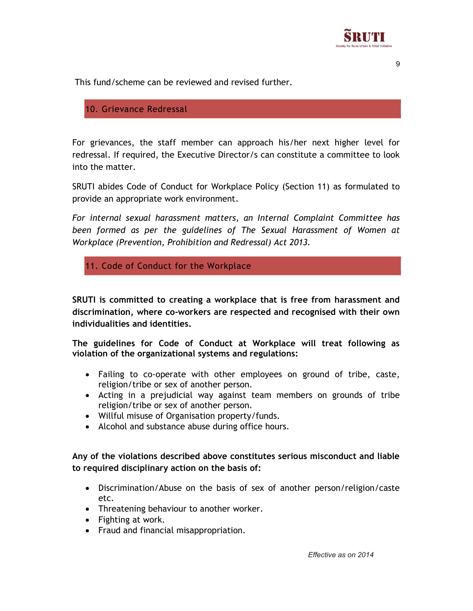

This fund/scheme can be reviewed and revised further.

### 10. Grievance Redressal

For grievances, the staff member can approach his/her next higher level for redressal. If required, the Executive Director/s can constitute a committee to look into the matter.

SRUTI abides Code of Conduct for Workplace Policy (Section 11) as formulated to provide an appropriate work environment.

For internal sexual harassment matters, an Internal Complaint Committee has been formed as per the guidelines of The Sexual Harassment of Women at Workplace (Prevention, Prohibition and Redressal) Act 2013.

11. Code of Conduct for the Workplace

SRUTI is committed to creating a workplace that is free from harassment and discrimination, where co-workers are respected and recognised with their own individualities and identities.

The guidelines for Code of Conduct at Workplace will treat following as violation of the organizational systems and regulations:

- Failing to co-operate with other employees on ground of tribe, caste, religion/tribe or sex of another person.
- Acting in a prejudicial way against team members on grounds of tribe religion/tribe or sex of another person.
- Willful misuse of Organisation property/funds.
- Alcohol and substance abuse during office hours.

Any of the violations described above constitutes serious misconduct and liable to required disciplinary action on the basis of:

- Discrimination/Abuse on the basis of sex of another person/religion/caste etc.
- Threatening behaviour to another worker.
- Fighting at work.
- Fraud and financial misappropriation.